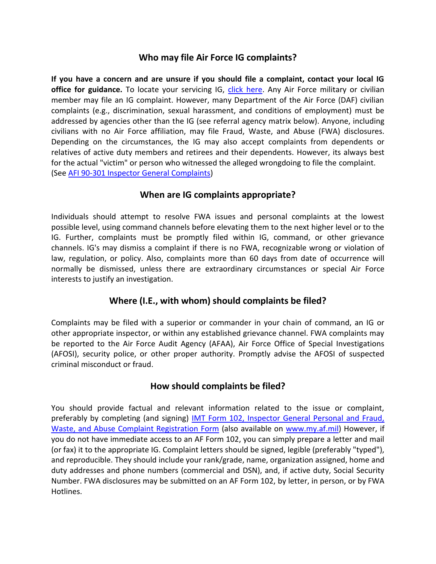## **Who may file Air Force IG complaints?**

**If you have a concern and are unsure if you should file a complaint, contact your local IG office for guidance.** To locate your servicing IG, [click here.](https://www.ig.hq.af.mil/igq/Locator/IGQLocator.htm) Any Air Force military or civilian member may file an IG complaint. However, many Department of the Air Force (DAF) civilian complaints (e.g., discrimination, sexual harassment, and conditions of employment) must be addressed by agencies other than the IG (see referral agency matrix below). Anyone, including civilians with no Air Force affiliation, may file Fraud, Waste, and Abuse (FWA) disclosures. Depending on the circumstances, the IG may also accept complaints from dependents or relatives of active duty members and retirees and their dependents. However, its always best for the actual "victim" or person who witnessed the alleged wrongdoing to file the complaint. (See [AFI 90-301 Inspector General Complaints\)](http://www.af.mil/shared/media/epubs/AFI90-301.pdf)

## **When are IG complaints appropriate?**

Individuals should attempt to resolve FWA issues and personal complaints at the lowest possible level, using command channels before elevating them to the next higher level or to the IG. Further, complaints must be promptly filed within IG, command, or other grievance channels. IG's may dismiss a complaint if there is no FWA, recognizable wrong or violation of law, regulation, or policy. Also, complaints more than 60 days from date of occurrence will normally be dismissed, unless there are extraordinary circumstances or special Air Force interests to justify an investigation.

## **Where (I.E., with whom) should complaints be filed?**

Complaints may be filed with a superior or commander in your chain of command, an IG or other appropriate inspector, or within any established grievance channel. FWA complaints may be reported to the Air Force Audit Agency (AFAA), Air Force Office of Special Investigations (AFOSI), security police, or other proper authority. Promptly advise the AFOSI of suspected criminal misconduct or fraud.

## **How should complaints be filed?**

You should provide factual and relevant information related to the issue or complaint, preferably by completing (and signing) [IMT Form 102, Inspector General Personal and Fraud,](http://www.au.af.mil/au/images/IG_Forms/AF00102_19960501.pdf)  [Waste, and Abuse Complaint Registration Form](http://www.au.af.mil/au/images/IG_Forms/AF00102_19960501.pdf) (also available on [www.my.af.mil\)](www.my.af.mil) However, if you do not have immediate access to an AF Form 102, you can simply prepare a letter and mail (or fax) it to the appropriate IG. Complaint letters should be signed, legible (preferably "typed"), and reproducible. They should include your rank/grade, name, organization assigned, home and duty addresses and phone numbers (commercial and DSN), and, if active duty, Social Security Number. FWA disclosures may be submitted on an AF Form 102, by letter, in person, or by FWA Hotlines.